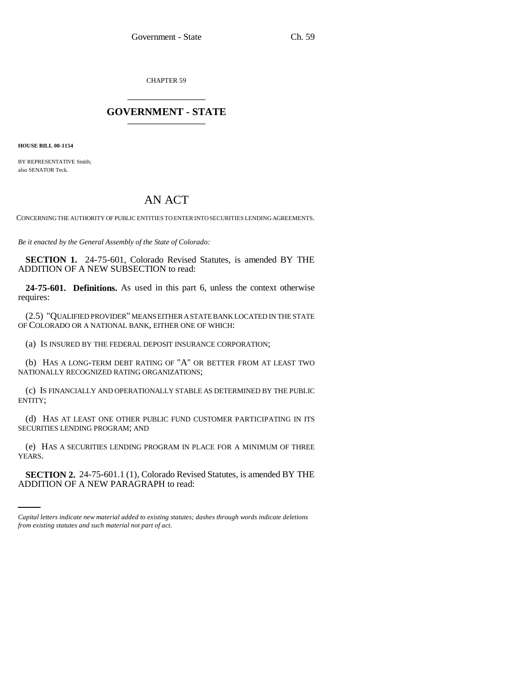CHAPTER 59 \_\_\_\_\_\_\_\_\_\_\_\_\_\_\_

## **GOVERNMENT - STATE** \_\_\_\_\_\_\_\_\_\_\_\_\_\_\_

**HOUSE BILL 00-1154** 

BY REPRESENTATIVE Smith; also SENATOR Teck.

## AN ACT

CONCERNING THE AUTHORITY OF PUBLIC ENTITIES TO ENTER INTO SECURITIES LENDING AGREEMENTS.

*Be it enacted by the General Assembly of the State of Colorado:*

**SECTION 1.** 24-75-601, Colorado Revised Statutes, is amended BY THE ADDITION OF A NEW SUBSECTION to read:

**24-75-601. Definitions.** As used in this part 6, unless the context otherwise requires:

(2.5) "QUALIFIED PROVIDER" MEANS EITHER A STATE BANK LOCATED IN THE STATE OF COLORADO OR A NATIONAL BANK, EITHER ONE OF WHICH:

(a) IS INSURED BY THE FEDERAL DEPOSIT INSURANCE CORPORATION;

(b) HAS A LONG-TERM DEBT RATING OF "A" OR BETTER FROM AT LEAST TWO NATIONALLY RECOGNIZED RATING ORGANIZATIONS;

(c) IS FINANCIALLY AND OPERATIONALLY STABLE AS DETERMINED BY THE PUBLIC ENTITY;

(d) HAS AT LEAST ONE OTHER PUBLIC FUND CUSTOMER PARTICIPATING IN ITS SECURITIES LENDING PROGRAM; AND

YEARS. (e) HAS A SECURITIES LENDING PROGRAM IN PLACE FOR A MINIMUM OF THREE

**SECTION 2.** 24-75-601.1 (1), Colorado Revised Statutes, is amended BY THE ADDITION OF A NEW PARAGRAPH to read:

*Capital letters indicate new material added to existing statutes; dashes through words indicate deletions from existing statutes and such material not part of act.*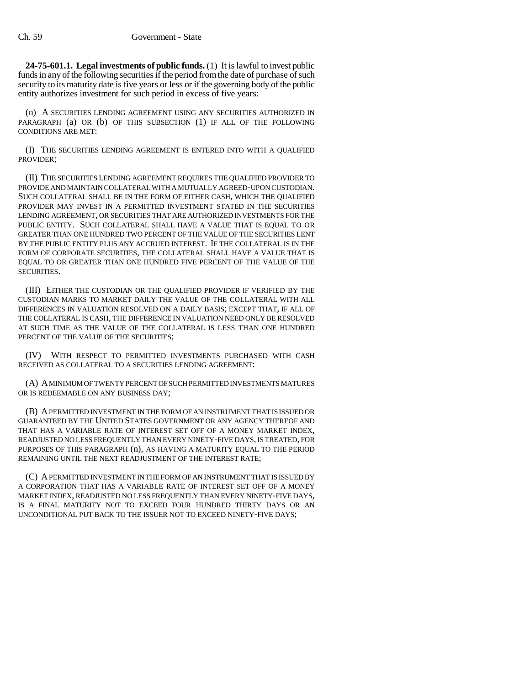**24-75-601.1. Legal investments of public funds.** (1) It is lawful to invest public funds in any of the following securities if the period from the date of purchase of such security to its maturity date is five years or less or if the governing body of the public entity authorizes investment for such period in excess of five years:

(n) A SECURITIES LENDING AGREEMENT USING ANY SECURITIES AUTHORIZED IN PARAGRAPH (a) OR (b) OF THIS SUBSECTION (1) IF ALL OF THE FOLLOWING CONDITIONS ARE MET:

(I) THE SECURITIES LENDING AGREEMENT IS ENTERED INTO WITH A QUALIFIED PROVIDER;

(II) THE SECURITIES LENDING AGREEMENT REQUIRES THE QUALIFIED PROVIDER TO PROVIDE AND MAINTAIN COLLATERAL WITH A MUTUALLY AGREED-UPON CUSTODIAN. SUCH COLLATERAL SHALL BE IN THE FORM OF EITHER CASH, WHICH THE QUALIFIED PROVIDER MAY INVEST IN A PERMITTED INVESTMENT STATED IN THE SECURITIES LENDING AGREEMENT, OR SECURITIES THAT ARE AUTHORIZED INVESTMENTS FOR THE PUBLIC ENTITY. SUCH COLLATERAL SHALL HAVE A VALUE THAT IS EQUAL TO OR GREATER THAN ONE HUNDRED TWO PERCENT OF THE VALUE OF THE SECURITIES LENT BY THE PUBLIC ENTITY PLUS ANY ACCRUED INTEREST. IF THE COLLATERAL IS IN THE FORM OF CORPORATE SECURITIES, THE COLLATERAL SHALL HAVE A VALUE THAT IS EQUAL TO OR GREATER THAN ONE HUNDRED FIVE PERCENT OF THE VALUE OF THE SECURITIES.

(III) EITHER THE CUSTODIAN OR THE QUALIFIED PROVIDER IF VERIFIED BY THE CUSTODIAN MARKS TO MARKET DAILY THE VALUE OF THE COLLATERAL WITH ALL DIFFERENCES IN VALUATION RESOLVED ON A DAILY BASIS; EXCEPT THAT, IF ALL OF THE COLLATERAL IS CASH, THE DIFFERENCE IN VALUATION NEED ONLY BE RESOLVED AT SUCH TIME AS THE VALUE OF THE COLLATERAL IS LESS THAN ONE HUNDRED PERCENT OF THE VALUE OF THE SECURITIES;

(IV) WITH RESPECT TO PERMITTED INVESTMENTS PURCHASED WITH CASH RECEIVED AS COLLATERAL TO A SECURITIES LENDING AGREEMENT:

(A) A MINIMUM OF TWENTY PERCENT OF SUCH PERMITTED INVESTMENTS MATURES OR IS REDEEMABLE ON ANY BUSINESS DAY;

(B) A PERMITTED INVESTMENT IN THE FORM OF AN INSTRUMENT THAT IS ISSUED OR GUARANTEED BY THE UNITED STATES GOVERNMENT OR ANY AGENCY THEREOF AND THAT HAS A VARIABLE RATE OF INTEREST SET OFF OF A MONEY MARKET INDEX, READJUSTED NO LESS FREQUENTLY THAN EVERY NINETY-FIVE DAYS, IS TREATED, FOR PURPOSES OF THIS PARAGRAPH (n), AS HAVING A MATURITY EQUAL TO THE PERIOD REMAINING UNTIL THE NEXT READJUSTMENT OF THE INTEREST RATE;

(C) A PERMITTED INVESTMENT IN THE FORM OF AN INSTRUMENT THAT IS ISSUED BY A CORPORATION THAT HAS A VARIABLE RATE OF INTEREST SET OFF OF A MONEY MARKET INDEX, READJUSTED NO LESS FREQUENTLY THAN EVERY NINETY-FIVE DAYS, IS A FINAL MATURITY NOT TO EXCEED FOUR HUNDRED THIRTY DAYS OR AN UNCONDITIONAL PUT BACK TO THE ISSUER NOT TO EXCEED NINETY-FIVE DAYS;